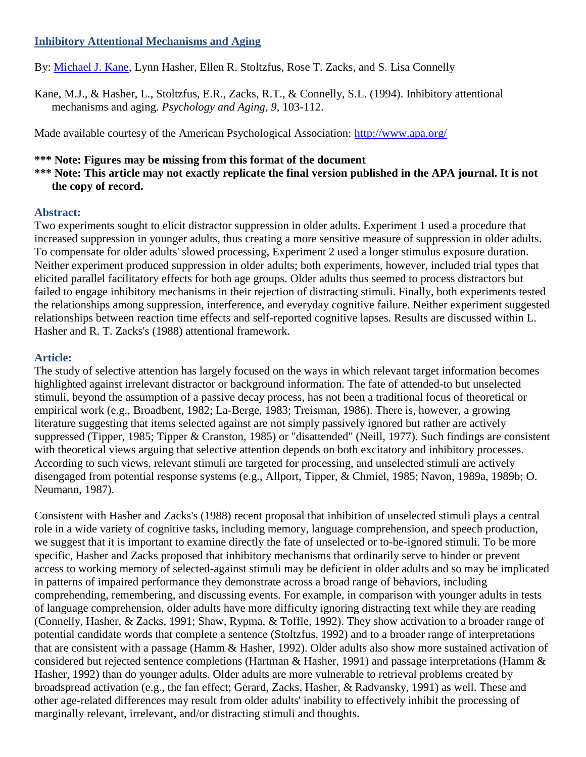### **Inhibitory Attentional Mechanisms and Aging**

By: [Michael J. Kane,](http://libres.uncg.edu/ir/uncg/clist.aspx?id=312) Lynn Hasher, Ellen R. Stoltzfus, Rose T. Zacks, and S. Lisa Connelly

Kane, M.J., & Hasher, L., Stoltzfus, E.R., Zacks, R.T., & Connelly, S.L. (1994). Inhibitory attentional mechanisms and aging. *Psychology and Aging, 9*, 103-112.

Made available courtesy of the American Psychological Association:<http://www.apa.org/>

#### **\*\*\* Note: Figures may be missing from this format of the document**

# **\*\*\* Note: This article may not exactly replicate the final version published in the APA journal. It is not the copy of record.**

#### **Abstract:**

Two experiments sought to elicit distractor suppression in older adults. Experiment 1 used a procedure that increased suppression in younger adults, thus creating a more sensitive measure of suppression in older adults. To compensate for older adults' slowed processing, Experiment 2 used a longer stimulus exposure duration. Neither experiment produced suppression in older adults; both experiments, however, included trial types that elicited parallel facilitatory effects for both age groups. Older adults thus seemed to process distractors but failed to engage inhibitory mechanisms in their rejection of distracting stimuli. Finally, both experiments tested the relationships among suppression, interference, and everyday cognitive failure. Neither experiment suggested relationships between reaction time effects and self-reported cognitive lapses. Results are discussed within L. Hasher and R. T. Zacks's (1988) attentional framework.

### **Article:**

The study of selective attention has largely focused on the ways in which relevant target information becomes highlighted against irrelevant distractor or background information. The fate of attended-to but unselected stimuli, beyond the assumption of a passive decay process, has not been a traditional focus of theoretical or empirical work (e.g., Broadbent, 1982; La-Berge, 1983; Treisman, 1986). There is, however, a growing literature suggesting that items selected against are not simply passively ignored but rather are actively suppressed (Tipper, 1985; Tipper & Cranston, 1985) or "disattended" (Neill, 1977). Such findings are consistent with theoretical views arguing that selective attention depends on both excitatory and inhibitory processes. According to such views, relevant stimuli are targeted for processing, and unselected stimuli are actively disengaged from potential response systems (e.g., Allport, Tipper, & Chmiel, 1985; Navon, 1989a, 1989b; O. Neumann, 1987).

Consistent with Hasher and Zacks's (1988) recent proposal that inhibition of unselected stimuli plays a central role in a wide variety of cognitive tasks, including memory, language comprehension, and speech production, we suggest that it is important to examine directly the fate of unselected or to-be-ignored stimuli. To be more specific, Hasher and Zacks proposed that inhibitory mechanisms that ordinarily serve to hinder or prevent access to working memory of selected-against stimuli may be deficient in older adults and so may be implicated in patterns of impaired performance they demonstrate across a broad range of behaviors, including comprehending, remembering, and discussing events. For example, in comparison with younger adults in tests of language comprehension, older adults have more difficulty ignoring distracting text while they are reading (Connelly, Hasher, & Zacks, 1991; Shaw, Rypma, & Toffle, 1992). They show activation to a broader range of potential candidate words that complete a sentence (Stoltzfus, 1992) and to a broader range of interpretations that are consistent with a passage (Hamm & Hasher, 1992). Older adults also show more sustained activation of considered but rejected sentence completions (Hartman & Hasher, 1991) and passage interpretations (Hamm & Hasher, 1992) than do younger adults. Older adults are more vulnerable to retrieval problems created by broadspread activation (e.g., the fan effect; Gerard, Zacks, Hasher, & Radvansky, 1991) as well. These and other age-related differences may result from older adults' inability to effectively inhibit the processing of marginally relevant, irrelevant, and/or distracting stimuli and thoughts.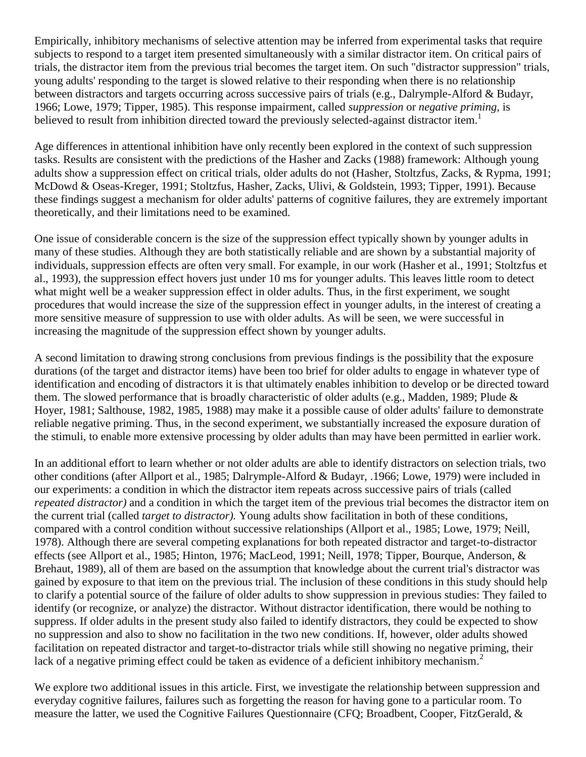Empirically, inhibitory mechanisms of selective attention may be inferred from experimental tasks that require subjects to respond to a target item presented simultaneously with a similar distractor item. On critical pairs of trials, the distractor item from the previous trial becomes the target item. On such "distractor suppression" trials, young adults' responding to the target is slowed relative to their responding when there is no relationship between distractors and targets occurring across successive pairs of trials (e.g., Dalrymple-Alford & Budayr, 1966; Lowe, 1979; Tipper, 1985). This response impairment, called *suppression* or *negative priming,* is believed to result from inhibition directed toward the previously selected-against distractor item.<sup>1</sup>

Age differences in attentional inhibition have only recently been explored in the context of such suppression tasks. Results are consistent with the predictions of the Hasher and Zacks (1988) framework: Although young adults show a suppression effect on critical trials, older adults do not (Hasher, Stoltzfus, Zacks, & Rypma, 1991; McDowd & Oseas-Kreger, 1991; Stoltzfus, Hasher, Zacks, Ulivi, & Goldstein, 1993; Tipper, 1991). Because these findings suggest a mechanism for older adults' patterns of cognitive failures, they are extremely important theoretically, and their limitations need to be examined.

One issue of considerable concern is the size of the suppression effect typically shown by younger adults in many of these studies. Although they are both statistically reliable and are shown by a substantial majority of individuals, suppression effects are often very small. For example, in our work (Hasher et al., 1991; Stoltzfus et al., 1993), the suppression effect hovers just under 10 ms for younger adults. This leaves little room to detect what might well be a weaker suppression effect in older adults. Thus, in the first experiment, we sought procedures that would increase the size of the suppression effect in younger adults, in the interest of creating a more sensitive measure of suppression to use with older adults. As will be seen, we were successful in increasing the magnitude of the suppression effect shown by younger adults.

A second limitation to drawing strong conclusions from previous findings is the possibility that the exposure durations (of the target and distractor items) have been too brief for older adults to engage in whatever type of identification and encoding of distractors it is that ultimately enables inhibition to develop or be directed toward them. The slowed performance that is broadly characteristic of older adults (e.g., Madden, 1989; Plude & Hoyer, 1981; Salthouse, 1982, 1985, 1988) may make it a possible cause of older adults' failure to demonstrate reliable negative priming. Thus, in the second experiment, we substantially increased the exposure duration of the stimuli, to enable more extensive processing by older adults than may have been permitted in earlier work.

In an additional effort to learn whether or not older adults are able to identify distractors on selection trials, two other conditions (after Allport et al., 1985; Dalrymple-Alford & Budayr, .1966; Lowe, 1979) were included in our experiments: a condition in which the distractor item repeats across successive pairs of trials (called *repeated distractor)* and a condition in which the target item of the previous trial becomes the distractor item on the current trial (called *target to distractor).* Young adults show facilitation in both of these conditions, compared with a control condition without successive relationships (Allport et al., 1985; Lowe, 1979; Neill, 1978). Although there are several competing explanations for both repeated distractor and target-to-distractor effects (see Allport et al., 1985; Hinton, 1976; MacLeod, 1991; Neill, 1978; Tipper, Bourque, Anderson, & Brehaut, 1989), all of them are based on the assumption that knowledge about the current trial's distractor was gained by exposure to that item on the previous trial. The inclusion of these conditions in this study should help to clarify a potential source of the failure of older adults to show suppression in previous studies: They failed to identify (or recognize, or analyze) the distractor. Without distractor identification, there would be nothing to suppress. If older adults in the present study also failed to identify distractors, they could be expected to show no suppression and also to show no facilitation in the two new conditions. If, however, older adults showed facilitation on repeated distractor and target-to-distractor trials while still showing no negative priming, their lack of a negative priming effect could be taken as evidence of a deficient inhibitory mechanism.<sup>2</sup>

We explore two additional issues in this article. First, we investigate the relationship between suppression and everyday cognitive failures, failures such as forgetting the reason for having gone to a particular room. To measure the latter, we used the Cognitive Failures Questionnaire (CFQ; Broadbent, Cooper, FitzGerald, &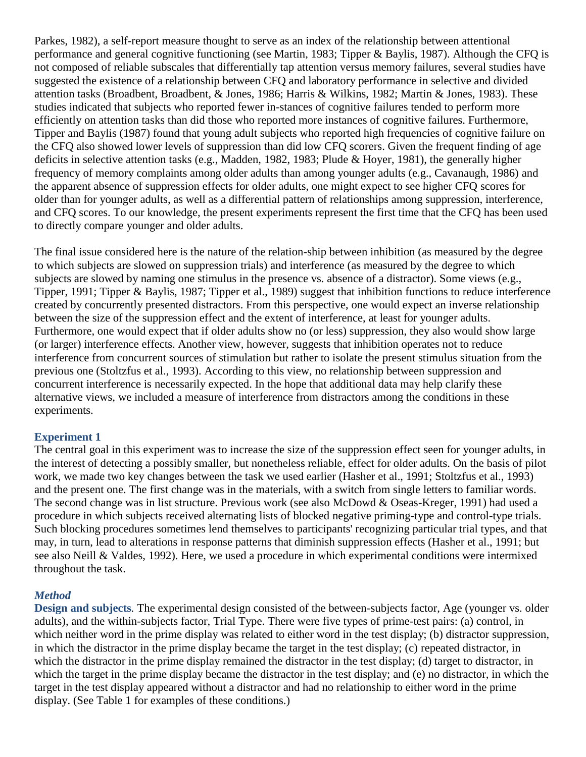Parkes, 1982), a self-report measure thought to serve as an index of the relationship between attentional performance and general cognitive functioning (see Martin, 1983; Tipper & Baylis, 1987). Although the CFQ is not composed of reliable subscales that differentially tap attention versus memory failures, several studies have suggested the existence of a relationship between CFQ and laboratory performance in selective and divided attention tasks (Broadbent, Broadbent, & Jones, 1986; Harris & Wilkins, 1982; Martin & Jones, 1983). These studies indicated that subjects who reported fewer in-stances of cognitive failures tended to perform more efficiently on attention tasks than did those who reported more instances of cognitive failures. Furthermore, Tipper and Baylis (1987) found that young adult subjects who reported high frequencies of cognitive failure on the CFQ also showed lower levels of suppression than did low CFQ scorers. Given the frequent finding of age deficits in selective attention tasks (e.g., Madden, 1982, 1983; Plude & Hoyer, 1981), the generally higher frequency of memory complaints among older adults than among younger adults (e.g., Cavanaugh, 1986) and the apparent absence of suppression effects for older adults, one might expect to see higher CFQ scores for older than for younger adults, as well as a differential pattern of relationships among suppression, interference, and CFQ scores. To our knowledge, the present experiments represent the first time that the CFQ has been used to directly compare younger and older adults.

The final issue considered here is the nature of the relation-ship between inhibition (as measured by the degree to which subjects are slowed on suppression trials) and interference (as measured by the degree to which subjects are slowed by naming one stimulus in the presence vs. absence of a distractor). Some views (e.g., Tipper, 1991; Tipper & Baylis, 1987; Tipper et al., 1989) suggest that inhibition functions to reduce interference created by concurrently presented distractors. From this perspective, one would expect an inverse relationship between the size of the suppression effect and the extent of interference, at least for younger adults. Furthermore, one would expect that if older adults show no (or less) suppression, they also would show large (or larger) interference effects. Another view, however, suggests that inhibition operates not to reduce interference from concurrent sources of stimulation but rather to isolate the present stimulus situation from the previous one (Stoltzfus et al., 1993). According to this view, no relationship between suppression and concurrent interference is necessarily expected. In the hope that additional data may help clarify these alternative views, we included a measure of interference from distractors among the conditions in these experiments.

#### **Experiment 1**

The central goal in this experiment was to increase the size of the suppression effect seen for younger adults, in the interest of detecting a possibly smaller, but nonetheless reliable, effect for older adults. On the basis of pilot work, we made two key changes between the task we used earlier (Hasher et al., 1991; Stoltzfus et al., 1993) and the present one. The first change was in the materials, with a switch from single letters to familiar words. The second change was in list structure. Previous work (see also McDowd & Oseas-Kreger, 1991) had used a procedure in which subjects received alternating lists of blocked negative priming-type and control-type trials. Such blocking procedures sometimes lend themselves to participants' recognizing particular trial types, and that may, in turn, lead to alterations in response patterns that diminish suppression effects (Hasher et al., 1991; but see also Neill & Valdes, 1992). Here, we used a procedure in which experimental conditions were intermixed throughout the task.

#### *Method*

**Design and subjects***.* The experimental design consisted of the between-subjects factor, Age (younger vs. older adults), and the within-subjects factor, Trial Type. There were five types of prime-test pairs: (a) control, in which neither word in the prime display was related to either word in the test display; (b) distractor suppression, in which the distractor in the prime display became the target in the test display; (c) repeated distractor, in which the distractor in the prime display remained the distractor in the test display; (d) target to distractor, in which the target in the prime display became the distractor in the test display; and (e) no distractor, in which the target in the test display appeared without a distractor and had no relationship to either word in the prime display. (See Table 1 for examples of these conditions.)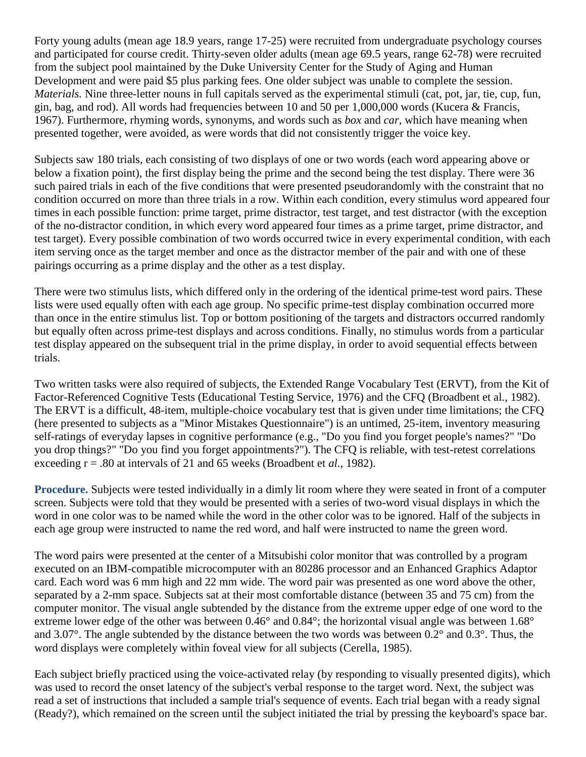Forty young adults (mean age 18.9 years, range 17-25) were recruited from undergraduate psychology courses and participated for course credit. Thirty-seven older adults (mean age 69.5 years, range 62-78) were recruited from the subject pool maintained by the Duke University Center for the Study of Aging and Human Development and were paid \$5 plus parking fees. One older subject was unable to complete the session. *Materials.* Nine three-letter nouns in full capitals served as the experimental stimuli (cat, pot, jar, tie, cup, fun, gin, bag, and rod). All words had frequencies between 10 and 50 per 1,000,000 words (Kucera & Francis, 1967). Furthermore, rhyming words, synonyms, and words such as *box* and *car,* which have meaning when presented together, were avoided, as were words that did not consistently trigger the voice key.

Subjects saw 180 trials, each consisting of two displays of one or two words (each word appearing above or below a fixation point), the first display being the prime and the second being the test display. There were 36 such paired trials in each of the five conditions that were presented pseudorandomly with the constraint that no condition occurred on more than three trials in a row. Within each condition, every stimulus word appeared four times in each possible function: prime target, prime distractor, test target, and test distractor (with the exception of the no-distractor condition, in which every word appeared four times as a prime target, prime distractor, and test target). Every possible combination of two words occurred twice in every experimental condition, with each item serving once as the target member and once as the distractor member of the pair and with one of these pairings occurring as a prime display and the other as a test display.

There were two stimulus lists, which differed only in the ordering of the identical prime-test word pairs. These lists were used equally often with each age group. No specific prime-test display combination occurred more than once in the entire stimulus list. Top or bottom positioning of the targets and distractors occurred randomly but equally often across prime-test displays and across conditions. Finally, no stimulus words from a particular test display appeared on the subsequent trial in the prime display, in order to avoid sequential effects between trials.

Two written tasks were also required of subjects, the Extended Range Vocabulary Test (ERVT), from the Kit of Factor-Referenced Cognitive Tests (Educational Testing Service, 1976) and the CFQ (Broadbent et al., 1982). The ERVT is a difficult, 48-item, multiple-choice vocabulary test that is given under time limitations; the CFQ (here presented to subjects as a "Minor Mistakes Questionnaire") is an untimed, 25-item, inventory measuring self-ratings of everyday lapses in cognitive performance (e.g., "Do you find you forget people's names?" "Do you drop things?" "Do you find you forget appointments?"). The CFQ is reliable, with test-retest correlations exceeding r = .80 at intervals of 21 and 65 weeks (Broadbent et *al.,* 1982).

**Procedure.** Subjects were tested individually in a dimly lit room where they were seated in front of a computer screen. Subjects were told that they would be presented with a series of two-word visual displays in which the word in one color was to be named while the word in the other color was to be ignored. Half of the subjects in each age group were instructed to name the red word, and half were instructed to name the green word.

The word pairs were presented at the center of a Mitsubishi color monitor that was controlled by a program executed on an IBM-compatible microcomputer with an 80286 processor and an Enhanced Graphics Adaptor card. Each word was 6 mm high and 22 mm wide. The word pair was presented as one word above the other, separated by a 2-mm space. Subjects sat at their most comfortable distance (between 35 and 75 cm) from the computer monitor. The visual angle subtended by the distance from the extreme upper edge of one word to the extreme lower edge of the other was between 0.46° and 0.84°; the horizontal visual angle was between 1.68° and 3.07°. The angle subtended by the distance between the two words was between 0.2° and 0.3°. Thus, the word displays were completely within foveal view for all subjects (Cerella, 1985).

Each subject briefly practiced using the voice-activated relay (by responding to visually presented digits), which was used to record the onset latency of the subject's verbal response to the target word. Next, the subject was read a set of instructions that included a sample trial's sequence of events. Each trial began with a ready signal (Ready?), which remained on the screen until the subject initiated the trial by pressing the keyboard's space bar.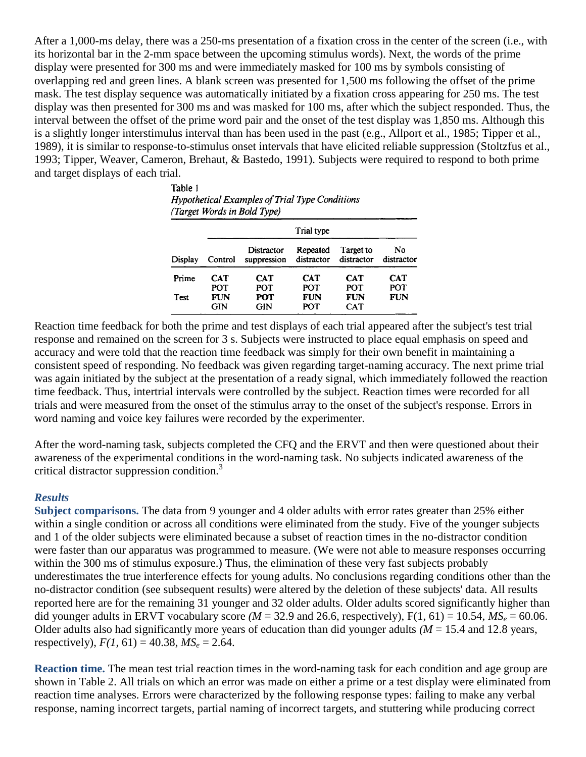After a 1,000-ms delay, there was a 250-ms presentation of a fixation cross in the center of the screen (i.e., with its horizontal bar in the 2-mm space between the upcoming stimulus words). Next, the words of the prime display were presented for 300 ms and were immediately masked for 100 ms by symbols consisting of overlapping red and green lines. A blank screen was presented for 1,500 ms following the offset of the prime mask. The test display sequence was automatically initiated by a fixation cross appearing for 250 ms. The test display was then presented for 300 ms and was masked for 100 ms, after which the subject responded. Thus, the interval between the offset of the prime word pair and the onset of the test display was 1,850 ms. Although this is a slightly longer interstimulus interval than has been used in the past (e.g., Allport et al., 1985; Tipper et al., 1989), it is similar to response-to-stimulus onset intervals that have elicited reliable suppression (Stoltzfus et al., 1993; Tipper, Weaver, Cameron, Brehaut, & Bastedo, 1991). Subjects were required to respond to both prime and target displays of each trial.

| Table 1                                        |
|------------------------------------------------|
| Hypothetical Examples of Trial Type Conditions |
| (Target Words in Bold Type)                    |

| Display | Trial type               |                           |                   |                                    |                   |  |  |
|---------|--------------------------|---------------------------|-------------------|------------------------------------|-------------------|--|--|
|         | Control                  | Distractor<br>suppression | Repeated          | Target to<br>distractor distractor | No<br>distractor  |  |  |
| Prime   | <b>CAT</b><br><b>POT</b> | <b>CAT</b><br><b>POT</b>  | <b>CAT</b><br>POT | <b>CAT</b><br>POT                  | <b>CAT</b><br>POT |  |  |
| Test    | <b>FUN</b><br><b>GIN</b> | POT<br>GIN                | FUN<br><b>POT</b> | <b>FUN</b><br><b>CAT</b>           | FUN               |  |  |

Reaction time feedback for both the prime and test displays of each trial appeared after the subject's test trial response and remained on the screen for 3 s. Subjects were instructed to place equal emphasis on speed and accuracy and were told that the reaction time feedback was simply for their own benefit in maintaining a consistent speed of responding. No feedback was given regarding target-naming accuracy. The next prime trial was again initiated by the subject at the presentation of a ready signal, which immediately followed the reaction time feedback. Thus, intertrial intervals were controlled by the subject. Reaction times were recorded for all trials and were measured from the onset of the stimulus array to the onset of the subject's response. Errors in word naming and voice key failures were recorded by the experimenter.

After the word-naming task, subjects completed the CFQ and the ERVT and then were questioned about their awareness of the experimental conditions in the word-naming task. No subjects indicated awareness of the critical distractor suppression condition.<sup>3</sup>

### *Results*

**Subject comparisons.** The data from 9 younger and 4 older adults with error rates greater than 25% either within a single condition or across all conditions were eliminated from the study. Five of the younger subjects and 1 of the older subjects were eliminated because a subset of reaction times in the no-distractor condition were faster than our apparatus was programmed to measure. (We were not able to measure responses occurring within the 300 ms of stimulus exposure.) Thus, the elimination of these very fast subjects probably underestimates the true interference effects for young adults. No conclusions regarding conditions other than the no-distractor condition (see subsequent results) were altered by the deletion of these subjects' data. All results reported here are for the remaining 31 younger and 32 older adults. Older adults scored significantly higher than did younger adults in ERVT vocabulary score  $(M = 32.9$  and 26.6, respectively),  $F(1, 61) = 10.54$ ,  $MS_e = 60.06$ . Older adults also had significantly more years of education than did younger adults *(M* = 15.4 and 12.8 years, respectively),  $F(1, 61) = 40.38$ ,  $MS_e = 2.64$ .

**Reaction time.** The mean test trial reaction times in the word-naming task for each condition and age group are shown in Table 2. All trials on which an error was made on either a prime or a test display were eliminated from reaction time analyses. Errors were characterized by the following response types: failing to make any verbal response, naming incorrect targets, partial naming of incorrect targets, and stuttering while producing correct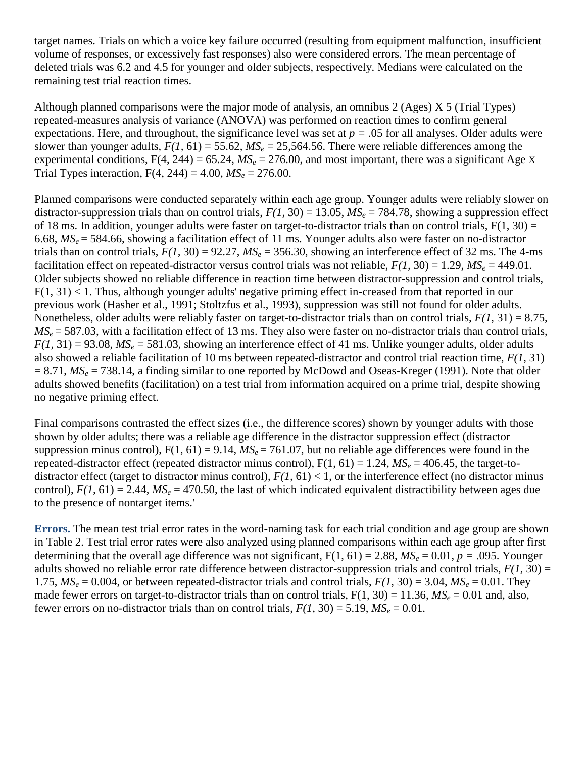target names. Trials on which a voice key failure occurred (resulting from equipment malfunction, insufficient volume of responses, or excessively fast responses) also were considered errors. The mean percentage of deleted trials was 6.2 and 4.5 for younger and older subjects, respectively. Medians were calculated on the remaining test trial reaction times.

Although planned comparisons were the major mode of analysis, an omnibus 2 (Ages) X 5 (Trial Types) repeated-measures analysis of variance (ANOVA) was performed on reaction times to confirm general expectations. Here, and throughout, the significance level was set at  $p = 0.05$  for all analyses. Older adults were slower than younger adults,  $F(1, 61) = 55.62$ ,  $MS_e = 25,564.56$ . There were reliable differences among the experimental conditions,  $F(4, 244) = 65.24$ ,  $MS_e = 276.00$ , and most important, there was a significant Age X Trial Types interaction,  $F(4, 244) = 4.00$ ,  $MS_e = 276.00$ .

Planned comparisons were conducted separately within each age group. Younger adults were reliably slower on distractor-suppression trials than on control trials,  $F(1, 30) = 13.05$ ,  $MS_e = 784.78$ , showing a suppression effect of 18 ms. In addition, younger adults were faster on target-to-distractor trials than on control trials,  $F(1, 30) =$ 6.68, *MS<sup>e</sup>* = 584.66, showing a facilitation effect of 11 ms. Younger adults also were faster on no-distractor trials than on control trials,  $F(1, 30) = 92.27$ ,  $MS_e = 356.30$ , showing an interference effect of 32 ms. The 4-ms facilitation effect on repeated-distractor versus control trials was not reliable,  $F(1, 30) = 1.29$ ,  $MS_e = 449.01$ . Older subjects showed no reliable difference in reaction time between distractor-suppression and control trials,  $F(1, 31) < 1$ . Thus, although younger adults' negative priming effect in-creased from that reported in our previous work (Hasher et al., 1991; Stoltzfus et al., 1993), suppression was still not found for older adults. Nonetheless, older adults were reliably faster on target-to-distractor trials than on control trials, *F(1,* 31) = 8.75,  $MS_e = 587.03$ , with a facilitation effect of 13 ms. They also were faster on no-distractor trials than control trials,  $F(1, 31) = 93.08$ ,  $MS_e = 581.03$ , showing an interference effect of 41 ms. Unlike younger adults, older adults also showed a reliable facilitation of 10 ms between repeated-distractor and control trial reaction time, *F(1,* 31)  $= 8.71$ ,  $MS_e = 738.14$ , a finding similar to one reported by McDowd and Oseas-Kreger (1991). Note that older adults showed benefits (facilitation) on a test trial from information acquired on a prime trial, despite showing no negative priming effect.

Final comparisons contrasted the effect sizes (i.e., the difference scores) shown by younger adults with those shown by older adults; there was a reliable age difference in the distractor suppression effect (distractor suppression minus control),  $F(1, 61) = 9.14$ ,  $MS_e = 761.07$ , but no reliable age differences were found in the repeated-distractor effect (repeated distractor minus control),  $F(1, 61) = 1.24$ ,  $MS_e = 406.45$ , the target-todistractor effect (target to distractor minus control), *F(1,* 61) < 1, or the interference effect (no distractor minus control),  $F(1, 61) = 2.44$ ,  $MS_e = 470.50$ , the last of which indicated equivalent distractibility between ages due to the presence of nontarget items.'

**Errors.** The mean test trial error rates in the word-naming task for each trial condition and age group are shown in Table 2. Test trial error rates were also analyzed using planned comparisons within each age group after first determining that the overall age difference was not significant,  $F(1, 61) = 2.88$ ,  $MS_e = 0.01$ ,  $p = .095$ . Younger adults showed no reliable error rate difference between distractor-suppression trials and control trials, *F(1,* 30) = 1.75,  $MS_e = 0.004$ , or between repeated-distractor trials and control trials,  $F(1, 30) = 3.04$ ,  $MS_e = 0.01$ . They made fewer errors on target-to-distractor trials than on control trials,  $F(1, 30) = 11.36$ ,  $MS_e = 0.01$  and, also, fewer errors on no-distractor trials than on control trials,  $F(1, 30) = 5.19$ ,  $MS_e = 0.01$ .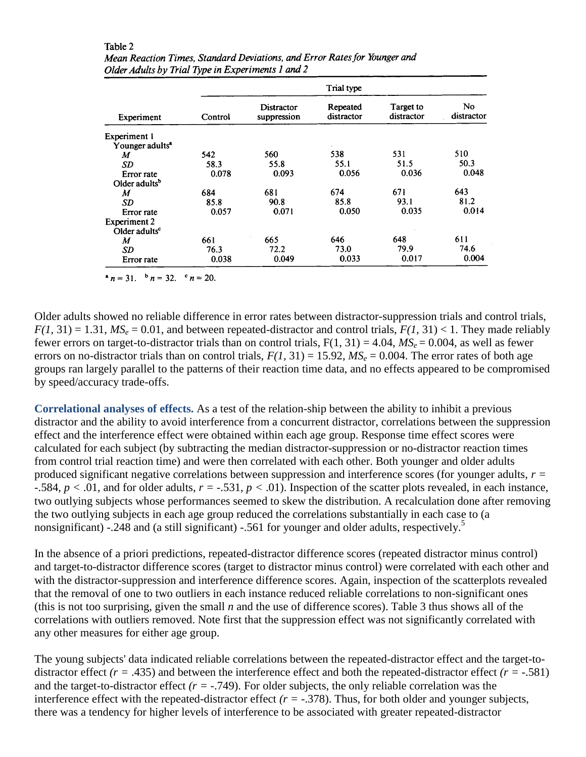|                             | Trial type |                           |                        |                         |                   |  |
|-----------------------------|------------|---------------------------|------------------------|-------------------------|-------------------|--|
| Experiment                  | Control    | Distractor<br>suppression | Repeated<br>distractor | Target to<br>distractor | No.<br>distractor |  |
| Experiment 1                |            |                           |                        |                         |                   |  |
| Younger adults <sup>a</sup> |            |                           |                        |                         |                   |  |
| M                           | 542        | 560                       | 538                    | 531                     | 510               |  |
| <b>SD</b>                   | 58.3       | 55.8                      | 55.1                   | 51.5                    | 50.3              |  |
| Error rate                  | 0.078      | 0.093                     | 0.056                  | 0.036                   | 0.048             |  |
| Older adults <sup>b</sup>   |            |                           |                        |                         |                   |  |
| $\boldsymbol{M}$            | 684        | 681                       | 674                    | 671                     | 643               |  |
| <b>SD</b>                   | 85.8       | 90.8                      | 85.8                   | 93.1                    | 81.2              |  |
| Error rate                  | 0.057      | 0.071                     | 0.050                  | 0.035                   | 0.014             |  |
| <b>Experiment 2</b>         |            |                           |                        |                         |                   |  |
| Older adults <sup>c</sup>   |            |                           |                        |                         |                   |  |
| M                           | 661        | 665                       | 646                    | 648                     | 611               |  |
| SD                          | 76.3       | 72.2                      | 73.0                   | 79.9                    | 74.6              |  |
| Error rate                  | 0.038      | 0.049                     | 0.033                  | 0.017                   | 0.004             |  |

Table 2 Mean Reaction Times, Standard Deviations, and Error Rates for Younger and Older Adults by Trial Type in Experiments 1 and 2

 $n = 31$ ,  $n = 32$ ,  $n = 20$ .

Older adults showed no reliable difference in error rates between distractor-suppression trials and control trials,  $F(1, 31) = 1.31$ ,  $MS_e = 0.01$ , and between repeated-distractor and control trials,  $F(1, 31) < 1$ . They made reliably fewer errors on target-to-distractor trials than on control trials,  $F(1, 31) = 4.04$ ,  $MS_e = 0.004$ , as well as fewer errors on no-distractor trials than on control trials,  $F(1, 31) = 15.92$ ,  $MS_e = 0.004$ . The error rates of both age groups ran largely parallel to the patterns of their reaction time data, and no effects appeared to be compromised by speed/accuracy trade-offs.

**Correlational analyses of effects.** As a test of the relation-ship between the ability to inhibit a previous distractor and the ability to avoid interference from a concurrent distractor, correlations between the suppression effect and the interference effect were obtained within each age group. Response time effect scores were calculated for each subject (by subtracting the median distractor-suppression or no-distractor reaction times from control trial reaction time) and were then correlated with each other. Both younger and older adults produced significant negative correlations between suppression and interference scores (for younger adults, *r =*  -.584,  $p < .01$ , and for older adults,  $r = -.531$ ,  $p < .01$ ). Inspection of the scatter plots revealed, in each instance, two outlying subjects whose performances seemed to skew the distribution. A recalculation done after removing the two outlying subjects in each age group reduced the correlations substantially in each case to (a nonsignificant) -.248 and (a still significant) -.561 for younger and older adults, respectively.<sup>5</sup>

In the absence of a priori predictions, repeated-distractor difference scores (repeated distractor minus control) and target-to-distractor difference scores (target to distractor minus control) were correlated with each other and with the distractor-suppression and interference difference scores. Again, inspection of the scatterplots revealed that the removal of one to two outliers in each instance reduced reliable correlations to non-significant ones (this is not too surprising, given the small *n* and the use of difference scores). Table 3 thus shows all of the correlations with outliers removed. Note first that the suppression effect was not significantly correlated with any other measures for either age group.

The young subjects' data indicated reliable correlations between the repeated-distractor effect and the target-todistractor effect *(r =* .435) and between the interference effect and both the repeated-distractor effect *(r =* -.581) and the target-to-distractor effect  $(r = -0.749)$ . For older subjects, the only reliable correlation was the interference effect with the repeated-distractor effect *(r =* -.378). Thus, for both older and younger subjects, there was a tendency for higher levels of interference to be associated with greater repeated-distractor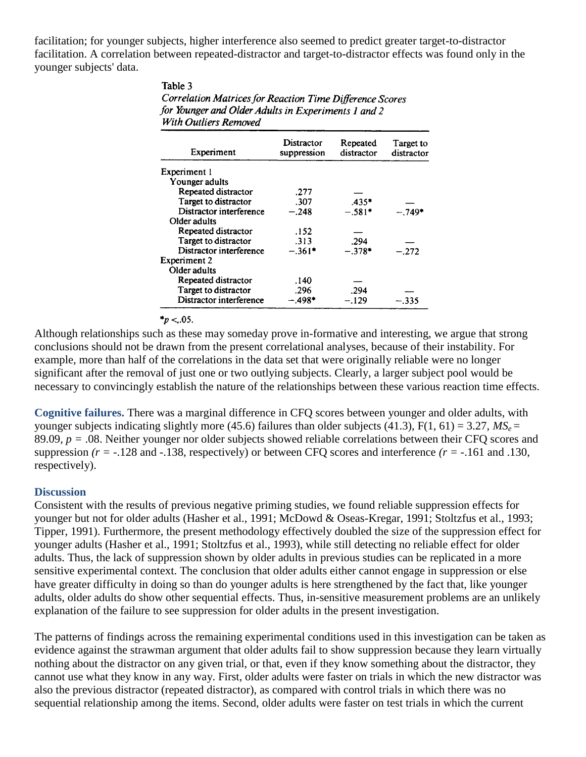facilitation; for younger subjects, higher interference also seemed to predict greater target-to-distractor facilitation. A correlation between repeated-distractor and target-to-distractor effects was found only in the younger subjects' data.

| Correlation Matrices for Reaction Time Difference Scores<br>for Younger and Older Adults in Experiments 1 and 2<br>With Outliers Removed |                           |                        |                         |  |  |  |
|------------------------------------------------------------------------------------------------------------------------------------------|---------------------------|------------------------|-------------------------|--|--|--|
| Experiment                                                                                                                               | Distractor<br>suppression | Repeated<br>distractor | Target to<br>distractor |  |  |  |
| Experiment 1                                                                                                                             |                           |                        |                         |  |  |  |
| Younger adults                                                                                                                           |                           |                        |                         |  |  |  |
| Repeated distractor                                                                                                                      | .277                      |                        |                         |  |  |  |
| Target to distractor                                                                                                                     | .307                      | $.435*$                |                         |  |  |  |
| Distractor interference                                                                                                                  | $-.248$                   | $-.581*$               | $-.749*$                |  |  |  |
| Older adults                                                                                                                             |                           |                        |                         |  |  |  |
| Repeated distractor                                                                                                                      | .152                      |                        |                         |  |  |  |
| Target to distractor                                                                                                                     | .313                      | .294                   |                         |  |  |  |
| Distractor interference                                                                                                                  | $-.361*$                  | $-.378*$               | $-.272$                 |  |  |  |
| Experiment 2                                                                                                                             |                           |                        |                         |  |  |  |
| Older adults                                                                                                                             |                           |                        |                         |  |  |  |
| Repeated distractor                                                                                                                      | .140                      |                        |                         |  |  |  |
| Target to distractor                                                                                                                     | .296                      | .294                   |                         |  |  |  |
| Distractor interference                                                                                                                  | $-.498*$                  | $-.129$                | -.335                   |  |  |  |

Table 3<br>Correlation Matrices for Reaction

 $*_{p}$  < 0.05.

Although relationships such as these may someday prove in-formative and interesting, we argue that strong conclusions should not be drawn from the present correlational analyses, because of their instability. For example, more than half of the correlations in the data set that were originally reliable were no longer significant after the removal of just one or two outlying subjects. Clearly, a larger subject pool would be necessary to convincingly establish the nature of the relationships between these various reaction time effects.

**Cognitive failures.** There was a marginal difference in CFQ scores between younger and older adults, with younger subjects indicating slightly more (45.6) failures than older subjects (41.3),  $F(1, 61) = 3.27$ ,  $MS_e =$ 89.09, *p =* .08. Neither younger nor older subjects showed reliable correlations between their CFQ scores and suppression  $(r = -128$  and  $-138$ , respectively) or between CFO scores and interference  $(r = -161$  and .130, respectively).

#### **Discussion**

Consistent with the results of previous negative priming studies, we found reliable suppression effects for younger but not for older adults (Hasher et al., 1991; McDowd & Oseas-Kregar, 1991; Stoltzfus et al., 1993; Tipper, 1991). Furthermore, the present methodology effectively doubled the size of the suppression effect for younger adults (Hasher et al., 1991; Stoltzfus et al., 1993), while still detecting no reliable effect for older adults. Thus, the lack of suppression shown by older adults in previous studies can be replicated in a more sensitive experimental context. The conclusion that older adults either cannot engage in suppression or else have greater difficulty in doing so than do younger adults is here strengthened by the fact that, like younger adults, older adults do show other sequential effects. Thus, in-sensitive measurement problems are an unlikely explanation of the failure to see suppression for older adults in the present investigation.

The patterns of findings across the remaining experimental conditions used in this investigation can be taken as evidence against the strawman argument that older adults fail to show suppression because they learn virtually nothing about the distractor on any given trial, or that, even if they know something about the distractor, they cannot use what they know in any way. First, older adults were faster on trials in which the new distractor was also the previous distractor (repeated distractor), as compared with control trials in which there was no sequential relationship among the items. Second, older adults were faster on test trials in which the current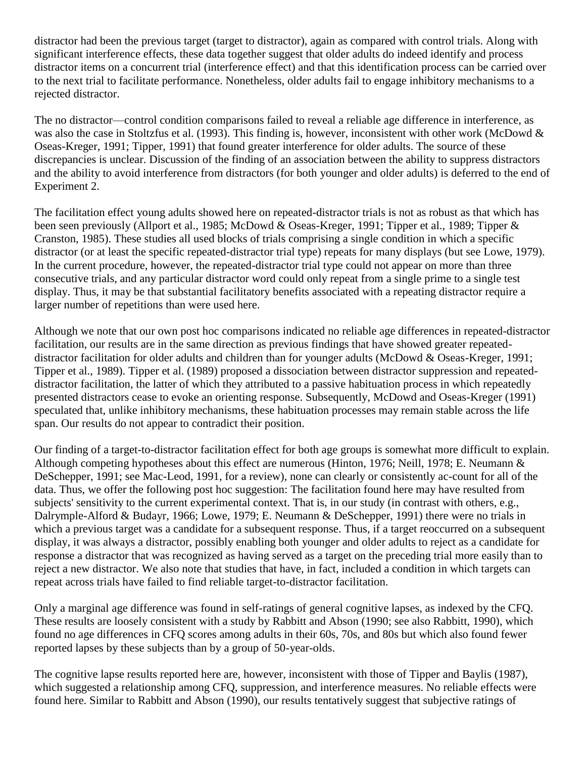distractor had been the previous target (target to distractor), again as compared with control trials. Along with significant interference effects, these data together suggest that older adults do indeed identify and process distractor items on a concurrent trial (interference effect) and that this identification process can be carried over to the next trial to facilitate performance. Nonetheless, older adults fail to engage inhibitory mechanisms to a rejected distractor.

The no distractor—control condition comparisons failed to reveal a reliable age difference in interference, as was also the case in Stoltzfus et al. (1993). This finding is, however, inconsistent with other work (McDowd & Oseas-Kreger, 1991; Tipper, 1991) that found greater interference for older adults. The source of these discrepancies is unclear. Discussion of the finding of an association between the ability to suppress distractors and the ability to avoid interference from distractors (for both younger and older adults) is deferred to the end of Experiment 2.

The facilitation effect young adults showed here on repeated-distractor trials is not as robust as that which has been seen previously (Allport et al., 1985; McDowd & Oseas-Kreger, 1991; Tipper et al., 1989; Tipper & Cranston, 1985). These studies all used blocks of trials comprising a single condition in which a specific distractor (or at least the specific repeated-distractor trial type) repeats for many displays (but see Lowe, 1979). In the current procedure, however, the repeated-distractor trial type could not appear on more than three consecutive trials, and any particular distractor word could only repeat from a single prime to a single test display. Thus, it may be that substantial facilitatory benefits associated with a repeating distractor require a larger number of repetitions than were used here.

Although we note that our own post hoc comparisons indicated no reliable age differences in repeated-distractor facilitation, our results are in the same direction as previous findings that have showed greater repeateddistractor facilitation for older adults and children than for younger adults (McDowd & Oseas-Kreger, 1991; Tipper et al., 1989). Tipper et al. (1989) proposed a dissociation between distractor suppression and repeateddistractor facilitation, the latter of which they attributed to a passive habituation process in which repeatedly presented distractors cease to evoke an orienting response. Subsequently, McDowd and Oseas-Kreger (1991) speculated that, unlike inhibitory mechanisms, these habituation processes may remain stable across the life span. Our results do not appear to contradict their position.

Our finding of a target-to-distractor facilitation effect for both age groups is somewhat more difficult to explain. Although competing hypotheses about this effect are numerous (Hinton, 1976; Neill, 1978; E. Neumann & DeSchepper, 1991; see Mac-Leod, 1991, for a review), none can clearly or consistently ac-count for all of the data. Thus, we offer the following post hoc suggestion: The facilitation found here may have resulted from subjects' sensitivity to the current experimental context. That is, in our study (in contrast with others, e.g., Dalrymple-Alford & Budayr, 1966; Lowe, 1979; E. Neumann & DeSchepper, 1991) there were no trials in which a previous target was a candidate for a subsequent response. Thus, if a target reoccurred on a subsequent display, it was always a distractor, possibly enabling both younger and older adults to reject as a candidate for response a distractor that was recognized as having served as a target on the preceding trial more easily than to reject a new distractor. We also note that studies that have, in fact, included a condition in which targets can repeat across trials have failed to find reliable target-to-distractor facilitation.

Only a marginal age difference was found in self-ratings of general cognitive lapses, as indexed by the CFQ. These results are loosely consistent with a study by Rabbitt and Abson (1990; see also Rabbitt, 1990), which found no age differences in CFQ scores among adults in their 60s, 70s, and 80s but which also found fewer reported lapses by these subjects than by a group of 50-year-olds.

The cognitive lapse results reported here are, however, inconsistent with those of Tipper and Baylis (1987), which suggested a relationship among CFQ, suppression, and interference measures. No reliable effects were found here. Similar to Rabbitt and Abson (1990), our results tentatively suggest that subjective ratings of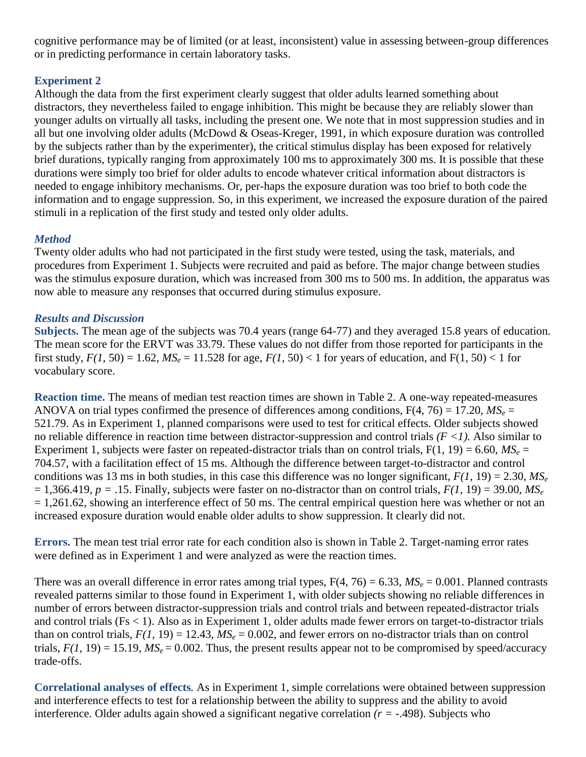cognitive performance may be of limited (or at least, inconsistent) value in assessing between-group differences or in predicting performance in certain laboratory tasks.

# **Experiment 2**

Although the data from the first experiment clearly suggest that older adults learned something about distractors, they nevertheless failed to engage inhibition. This might be because they are reliably slower than younger adults on virtually all tasks, including the present one. We note that in most suppression studies and in all but one involving older adults (McDowd & Oseas-Kreger, 1991, in which exposure duration was controlled by the subjects rather than by the experimenter), the critical stimulus display has been exposed for relatively brief durations, typically ranging from approximately 100 ms to approximately 300 ms. It is possible that these durations were simply too brief for older adults to encode whatever critical information about distractors is needed to engage inhibitory mechanisms. Or, per-haps the exposure duration was too brief to both code the information and to engage suppression. So, in this experiment, we increased the exposure duration of the paired stimuli in a replication of the first study and tested only older adults.

## *Method*

Twenty older adults who had not participated in the first study were tested, using the task, materials, and procedures from Experiment 1. Subjects were recruited and paid as before. The major change between studies was the stimulus exposure duration, which was increased from 300 ms to 500 ms. In addition, the apparatus was now able to measure any responses that occurred during stimulus exposure.

### *Results and Discussion*

**Subjects.** The mean age of the subjects was 70.4 years (range 64-77) and they averaged 15.8 years of education. The mean score for the ERVT was 33.79. These values do not differ from those reported for participants in the first study,  $F(1, 50) = 1.62$ ,  $MS_e = 11.528$  for age,  $F(1, 50) < 1$  for years of education, and  $F(1, 50) < 1$  for vocabulary score.

**Reaction time.** The means of median test reaction times are shown in Table 2. A one-way repeated-measures ANOVA on trial types confirmed the presence of differences among conditions,  $F(4, 76) = 17.20$ ,  $MS_e =$ 521.79. As in Experiment 1, planned comparisons were used to test for critical effects. Older subjects showed no reliable difference in reaction time between distractor-suppression and control trials *(F <1).* Also similar to Experiment 1, subjects were faster on repeated-distractor trials than on control trials,  $F(1, 19) = 6.60$ ,  $MS_e =$ 704.57, with a facilitation effect of 15 ms. Although the difference between target-to-distractor and control conditions was 13 ms in both studies, in this case this difference was no longer significant,  $F(1, 19) = 2.30$ ,  $MS_e$  $= 1,366.419$ ,  $p = .15$ . Finally, subjects were faster on no-distractor than on control trials,  $F(1, 19) = 39.00$ ,  $MS_e$  $= 1,261.62$ , showing an interference effect of 50 ms. The central empirical question here was whether or not an increased exposure duration would enable older adults to show suppression. It clearly did not.

**Errors.** The mean test trial error rate for each condition also is shown in Table 2. Target-naming error rates were defined as in Experiment 1 and were analyzed as were the reaction times.

There was an overall difference in error rates among trial types,  $F(4, 76) = 6.33$ ,  $MS_e = 0.001$ . Planned contrasts revealed patterns similar to those found in Experiment 1, with older subjects showing no reliable differences in number of errors between distractor-suppression trials and control trials and between repeated-distractor trials and control trials (Fs < 1). Also as in Experiment 1, older adults made fewer errors on target-to-distractor trials than on control trials,  $F(1, 19) = 12.43$ ,  $MS_e = 0.002$ , and fewer errors on no-distractor trials than on control trials,  $F(1, 19) = 15.19$ ,  $MS_e = 0.002$ . Thus, the present results appear not to be compromised by speed/accuracy trade-offs.

**Correlational analyses of effects***.* As in Experiment 1, simple correlations were obtained between suppression and interference effects to test for a relationship between the ability to suppress and the ability to avoid interference. Older adults again showed a significant negative correlation *(r =* -.498). Subjects who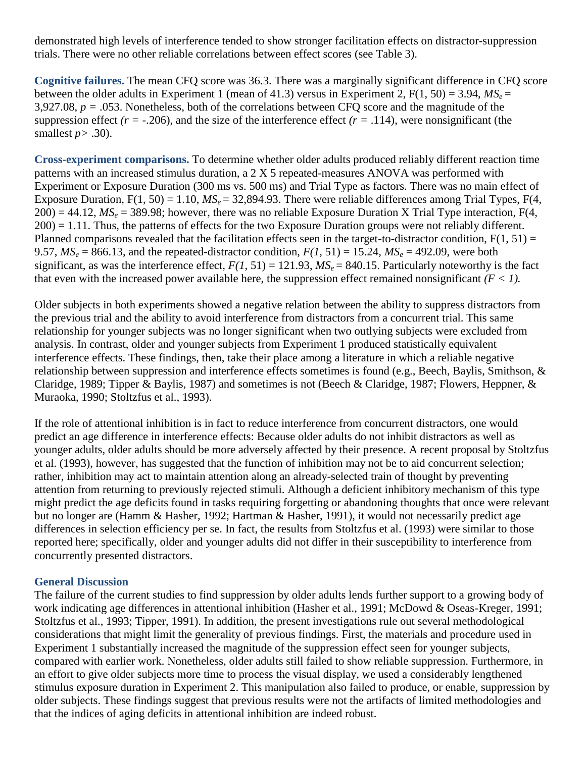demonstrated high levels of interference tended to show stronger facilitation effects on distractor-suppression trials. There were no other reliable correlations between effect scores (see Table 3).

**Cognitive failures.** The mean CFQ score was 36.3. There was a marginally significant difference in CFQ score between the older adults in Experiment 1 (mean of 41.3) versus in Experiment 2,  $F(1, 50) = 3.94$ ,  $MS_e =$ 3,927.08, *p =* .053. Nonetheless, both of the correlations between CFQ score and the magnitude of the suppression effect  $(r = -0.206)$ , and the size of the interference effect  $(r = 0.114)$ , were nonsignificant (the smallest *p>* .30).

**Cross-experiment comparisons.** To determine whether older adults produced reliably different reaction time patterns with an increased stimulus duration, a 2 X 5 repeated-measures ANOVA was performed with Experiment or Exposure Duration (300 ms vs. 500 ms) and Trial Type as factors. There was no main effect of Exposure Duration,  $F(1, 50) = 1.10$ ,  $MS_e = 32,894.93$ . There were reliable differences among Trial Types,  $F(4, 50)$  $200$ ) = 44.12,  $MS_e$  = 389.98; however, there was no reliable Exposure Duration X Trial Type interaction, F(4,  $200$ ) = 1.11. Thus, the patterns of effects for the two Exposure Duration groups were not reliably different. Planned comparisons revealed that the facilitation effects seen in the target-to-distractor condition,  $F(1, 51) =$ 9.57,  $MS_e = 866.13$ , and the repeated-distractor condition,  $F(1, 51) = 15.24$ ,  $MS_e = 492.09$ , were both significant, as was the interference effect,  $F(1, 51) = 121.93$ ,  $MS_e = 840.15$ . Particularly noteworthy is the fact that even with the increased power available here, the suppression effect remained nonsignificant  $(F < 1)$ .

Older subjects in both experiments showed a negative relation between the ability to suppress distractors from the previous trial and the ability to avoid interference from distractors from a concurrent trial. This same relationship for younger subjects was no longer significant when two outlying subjects were excluded from analysis. In contrast, older and younger subjects from Experiment 1 produced statistically equivalent interference effects. These findings, then, take their place among a literature in which a reliable negative relationship between suppression and interference effects sometimes is found (e.g., Beech, Baylis, Smithson, & Claridge, 1989; Tipper & Baylis, 1987) and sometimes is not (Beech & Claridge, 1987; Flowers, Heppner, & Muraoka, 1990; Stoltzfus et al., 1993).

If the role of attentional inhibition is in fact to reduce interference from concurrent distractors, one would predict an age difference in interference effects: Because older adults do not inhibit distractors as well as younger adults, older adults should be more adversely affected by their presence. A recent proposal by Stoltzfus et al. (1993), however, has suggested that the function of inhibition may not be to aid concurrent selection; rather, inhibition may act to maintain attention along an already-selected train of thought by preventing attention from returning to previously rejected stimuli. Although a deficient inhibitory mechanism of this type might predict the age deficits found in tasks requiring forgetting or abandoning thoughts that once were relevant but no longer are (Hamm & Hasher, 1992; Hartman & Hasher, 1991), it would not necessarily predict age differences in selection efficiency per se. In fact, the results from Stoltzfus et al. (1993) were similar to those reported here; specifically, older and younger adults did not differ in their susceptibility to interference from concurrently presented distractors.

#### **General Discussion**

The failure of the current studies to find suppression by older adults lends further support to a growing body of work indicating age differences in attentional inhibition (Hasher et al., 1991; McDowd & Oseas-Kreger, 1991; Stoltzfus et al., 1993; Tipper, 1991). In addition, the present investigations rule out several methodological considerations that might limit the generality of previous findings. First, the materials and procedure used in Experiment 1 substantially increased the magnitude of the suppression effect seen for younger subjects, compared with earlier work. Nonetheless, older adults still failed to show reliable suppression. Furthermore, in an effort to give older subjects more time to process the visual display, we used a considerably lengthened stimulus exposure duration in Experiment 2. This manipulation also failed to produce, or enable, suppression by older subjects. These findings suggest that previous results were not the artifacts of limited methodologies and that the indices of aging deficits in attentional inhibition are indeed robust.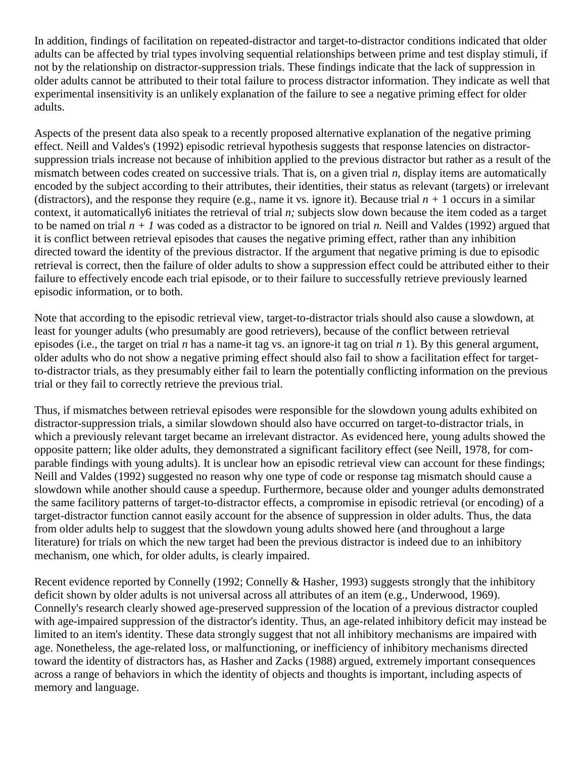In addition, findings of facilitation on repeated-distractor and target-to-distractor conditions indicated that older adults can be affected by trial types involving sequential relationships between prime and test display stimuli, if not by the relationship on distractor-suppression trials. These findings indicate that the lack of suppression in older adults cannot be attributed to their total failure to process distractor information. They indicate as well that experimental insensitivity is an unlikely explanation of the failure to see a negative priming effect for older adults.

Aspects of the present data also speak to a recently proposed alternative explanation of the negative priming effect. Neill and Valdes's (1992) episodic retrieval hypothesis suggests that response latencies on distractorsuppression trials increase not because of inhibition applied to the previous distractor but rather as a result of the mismatch between codes created on successive trials. That is, on a given trial *n,* display items are automatically encoded by the subject according to their attributes, their identities, their status as relevant (targets) or irrelevant (distractors), and the response they require (e.g., name it vs. ignore it). Because trial  $n + 1$  occurs in a similar context, it automatically6 initiates the retrieval of trial *n;* subjects slow down because the item coded as a target to be named on trial  $n + 1$  was coded as a distractor to be ignored on trial *n*. Neill and Valdes (1992) argued that it is conflict between retrieval episodes that causes the negative priming effect, rather than any inhibition directed toward the identity of the previous distractor. If the argument that negative priming is due to episodic retrieval is correct, then the failure of older adults to show a suppression effect could be attributed either to their failure to effectively encode each trial episode, or to their failure to successfully retrieve previously learned episodic information, or to both.

Note that according to the episodic retrieval view, target-to-distractor trials should also cause a slowdown, at least for younger adults (who presumably are good retrievers), because of the conflict between retrieval episodes (i.e., the target on trial *n* has a name-it tag [vs. an](http://vs.an/) ignore-it tag on trial *n* 1). By this general argument, older adults who do not show a negative priming effect should also fail to show a facilitation effect for targetto-distractor trials, as they presumably either fail to learn the potentially conflicting information on the previous trial or they fail to correctly retrieve the previous trial.

Thus, if mismatches between retrieval episodes were responsible for the slowdown young adults exhibited on distractor-suppression trials, a similar slowdown should also have occurred on target-to-distractor trials, in which a previously relevant target became an irrelevant distractor. As evidenced here, young adults showed the opposite pattern; like older adults, they demonstrated a significant facilitory effect (see Neill, 1978, for comparable findings with young adults). It is unclear how an episodic retrieval view can account for these findings; Neill and Valdes (1992) suggested no reason why one type of code or response tag mismatch should cause a slowdown while another should cause a speedup. Furthermore, because older and younger adults demonstrated the same facilitory patterns of target-to-distractor effects, a compromise in episodic retrieval (or encoding) of a target-distractor function cannot easily account for the absence of suppression in older adults. Thus, the data from older adults help to suggest that the slowdown young adults showed here (and throughout a large literature) for trials on which the new target had been the previous distractor is indeed due to an inhibitory mechanism, one which, for older adults, is clearly impaired.

Recent evidence reported by Connelly (1992; Connelly & Hasher, 1993) suggests strongly that the inhibitory deficit shown by older adults is not universal across all attributes of an item (e.g., Underwood, 1969). Connelly's research clearly showed age-preserved suppression of the location of a previous distractor coupled with age-impaired suppression of the distractor's identity. Thus, an age-related inhibitory deficit may instead be limited to an item's identity. These data strongly suggest that not all inhibitory mechanisms are impaired with age. Nonetheless, the age-related loss, or malfunctioning, or inefficiency of inhibitory mechanisms directed toward the identity of distractors has, as Hasher and Zacks (1988) argued, extremely important consequences across a range of behaviors in which the identity of objects and thoughts is important, including aspects of memory and language.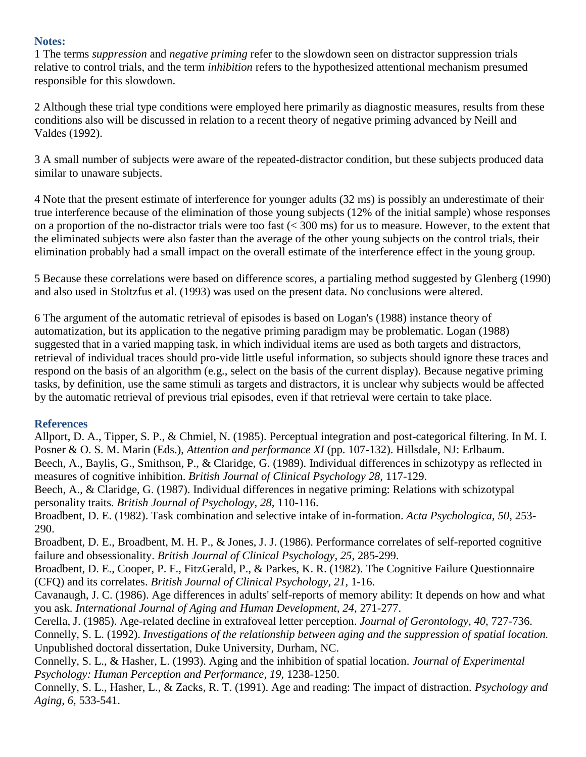### **Notes:**

1 The terms *suppression* and *negative priming* refer to the slowdown seen on distractor suppression trials relative to control trials, and the term *inhibition* refers to the hypothesized attentional mechanism presumed responsible for this slowdown.

2 Although these trial type conditions were employed here primarily as diagnostic measures, results from these conditions also will be discussed in relation to a recent theory of negative priming advanced by Neill and Valdes (1992).

3 A small number of subjects were aware of the repeated-distractor condition, but these subjects produced data similar to unaware subjects.

4 Note that the present estimate of interference for younger adults (32 ms) is possibly an underestimate of their true interference because of the elimination of those young subjects (12% of the initial sample) whose responses on a proportion of the no-distractor trials were too fast (< 300 ms) for us to measure. However, to the extent that the eliminated subjects were also faster than the average of the other young subjects on the control trials, their elimination probably had a small impact on the overall estimate of the interference effect in the young group.

5 Because these correlations were based on difference scores, a partialing method suggested by Glenberg (1990) and also used in Stoltzfus et al. (1993) was used on the present data. No conclusions were altered.

6 The argument of the automatic retrieval of episodes is based on Logan's (1988) instance theory of automatization, but its application to the negative priming paradigm may be problematic. Logan (1988) suggested that in a varied mapping task, in which individual items are used as both targets and distractors, retrieval of individual traces should pro-vide little useful information, so subjects should ignore these traces and respond on the basis of an algorithm (e.g., select on the basis of the current display). Because negative priming tasks, by definition, use the same stimuli as targets and distractors, it is unclear why subjects would be affected by the automatic retrieval of previous trial episodes, even if that retrieval were certain to take place.

### **References**

Allport, D. A., Tipper, S. P., & Chmiel, N. (1985). Perceptual integration and post-categorical filtering. In M. I. Posner & O. S. M. Marin (Eds.), *Attention and performance XI* (pp. 107-132). Hillsdale, NJ: Erlbaum. Beech, A., Baylis, G., Smithson, P., & Claridge, G. (1989). Individual differences in schizotypy as reflected in measures of cognitive inhibition. *British Journal of Clinical Psychology 28,* 117-129.

Beech, A., & Claridge, G. (1987). Individual differences in negative priming: Relations with schizotypal personality traits. *British Journal of Psychology, 28,* 110-116.

Broadbent, D. E. (1982). Task combination and selective intake of in-formation. *Acta Psychologica, 50,* 253- 290.

Broadbent, D. E., Broadbent, M. H. P., & Jones, J. J. (1986). Performance correlates of self-reported cognitive failure and obsessionality. *British Journal of Clinical Psychology, 25,* 285-299.

Broadbent, D. E., Cooper, P. F., FitzGerald, P., & Parkes, K. R. (1982). The Cognitive Failure Questionnaire (CFQ) and its correlates. *British Journal of Clinical Psychology, 21,* 1-16.

Cavanaugh, J. C. (1986). Age differences in adults' self-reports of memory ability: It depends on how and what you ask. *International Journal of Aging and Human Development, 24,* 271-277.

Cerella, J. (1985). Age-related decline in extrafoveal letter perception. *Journal of Gerontology, 40,* 727-736. Connelly, S. L. (1992). *Investigations of the relationship between aging and the suppression of spatial location.*  Unpublished doctoral dissertation, Duke University, Durham, NC.

Connelly, S. L., & Hasher, L. (1993). Aging and the inhibition of spatial location. *Journal of Experimental*  Psychology: Human Perception and Performance, 19, 1238-1250.

Connelly, S. L., Hasher, L., & Zacks, R. T. (1991). Age and reading: The impact of distraction. *Psychology and Aging, 6,* 533-541.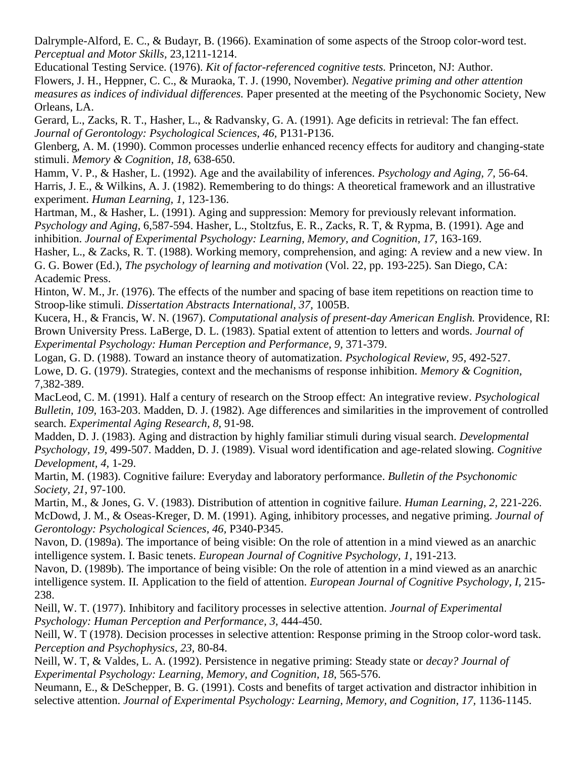Dalrymple-Alford, E. C., & Budayr, B. (1966). Examination of some aspects of the Stroop color-word test. *Perceptual and Motor Skills,* 23,1211-1214.

Educational Testing Service. (1976). *Kit of factor-referenced cognitive tests.* Princeton, NJ: Author. Flowers, J. H., Heppner, C. C., & Muraoka, T. J. (1990, November). *Negative priming and other attention measures as indices of individual differences.* Paper presented at the meeting of the Psychonomic Society, New Orleans, LA.

Gerard, L., Zacks, R. T., Hasher, L., & Radvansky, G. A. (1991). Age deficits in retrieval: The fan effect. *Journal of Gerontology: Psychological Sciences, 46,* P131-P136.

Glenberg, A. M. (1990). Common processes underlie enhanced recency effects for auditory and changing-state stimuli. *Memory & Cognition, 18,* 638-650.

Hamm, V. P., & Hasher, L. (1992). Age and the availability of inferences. *Psychology and Aging, 7,* 56-64. Harris, J. E., & Wilkins, A. J. (1982). Remembering to do things: A theoretical framework and an illustrative experiment. *Human Learning, 1,* 123-136.

Hartman, M., & Hasher, L. (1991). Aging and suppression: Memory for previously relevant information. *Psychology and Aging,* 6,587-594. Hasher, L., Stoltzfus, E. R., Zacks, R. T, & Rypma, B. (1991). Age and inhibition. *Journal of Experimental Psychology: Learning, Memory, and Cognition, 17, 163-169.* 

Hasher, L., & Zacks, R. T. (1988). Working memory, comprehension, and aging: A review and a new view. In G. G. Bower (Ed.), *The psychology of learning and motivation* (Vol. 22, pp. 193-225). San Diego, CA: Academic Press.

Hinton, W. M., Jr. (1976). The effects of the number and spacing of base item repetitions on reaction time to Stroop-like stimuli. *Dissertation Abstracts International, 37,* 1005B.

Kucera, H., & Francis, W. N. (1967). *Computational analysis of present-day American English.* Providence, RI: Brown University Press. LaBerge, D. L. (1983). Spatial extent of attention to letters and words. *Journal of Experimental Psychology: Human Perception and Performance, 9,* 371-379.

Logan, G. D. (1988). Toward an instance theory of automatization. *Psychological Review, 95,* 492-527. Lowe, D. G. (1979). Strategies, context and the mechanisms of response inhibition. *Memory & Cognition,*  7,382-389.

MacLeod, C. M. (1991). Half a century of research on the Stroop effect: An integrative review. *Psychological Bulletin, 109,* 163-203. Madden, D. J. (1982). Age differences and similarities in the improvement of controlled search. *Experimental Aging Research, 8,* 91-98.

Madden, D. J. (1983). Aging and distraction by highly familiar stimuli during visual search. *Developmental Psychology, 19,* 499-507. Madden, D. J. (1989). Visual word identification and age-related slowing. *Cognitive Development, 4,* 1-29.

Martin, M. (1983). Cognitive failure: Everyday and laboratory performance. *Bulletin of the Psychonomic Society, 21,* 97-100.

Martin, M., & Jones, G. V. (1983). Distribution of attention in cognitive failure. *Human Learning, 2,* 221-226. McDowd, J. M., & Oseas-Kreger, D. M. (1991). Aging, inhibitory processes, and negative priming. *Journal of Gerontology: Psychological Sciences, 46,* P340-P345.

Navon, D. (1989a). The importance of being visible: On the role of attention in a mind viewed as an anarchic intelligence system. I. Basic tenets. *European Journal of Cognitive Psychology, 1,* 191-213.

Navon, D. (1989b). The importance of being visible: On the role of attention in a mind viewed as an anarchic intelligence system. II. Application to the field of attention. *European Journal of Cognitive Psychology, I,* 215- 238.

Neill, W. T. (1977). Inhibitory and facilitory processes in selective attention. *Journal of Experimental Psychology: Human Perception and Performance, 3,* 444-450.

Neill, W. T (1978). Decision processes in selective attention: Response priming in the Stroop color-word task. *Perception and Psychophysics, 23,* 80-84.

Neill, W. T, & Valdes, L. A. (1992). Persistence in negative priming: Steady state or *decay? Journal of Experimental Psychology: Learning, Memory, and Cognition, 18, 565-576.* 

Neumann, E., & DeSchepper, B. G. (1991). Costs and benefits of target activation and distractor inhibition in selective attention. *Journal of Experimental Psychology: Learning, Memory, and Cognition, 17, 1136-1145.*